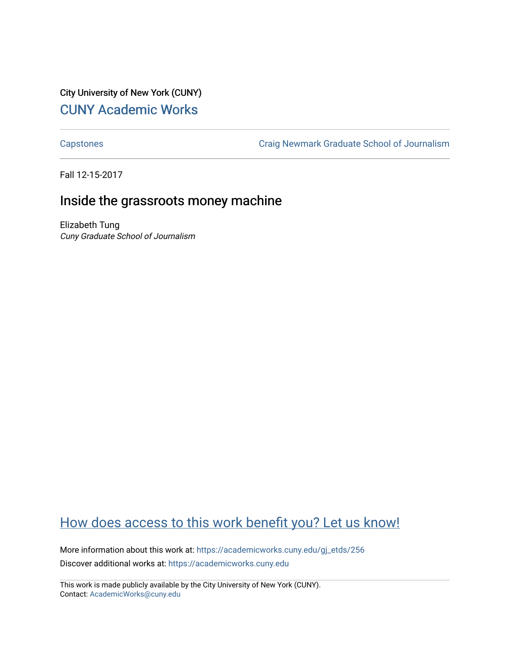## City University of New York (CUNY) [CUNY Academic Works](https://academicworks.cuny.edu/)

[Capstones](https://academicworks.cuny.edu/gj_etds) [Craig Newmark Graduate School of Journalism](https://academicworks.cuny.edu/gj) 

Fall 12-15-2017

## Inside the grassroots money machine

Elizabeth Tung Cuny Graduate School of Journalism

## [How does access to this work benefit you? Let us know!](http://ols.cuny.edu/academicworks/?ref=https://academicworks.cuny.edu/gj_etds/256)

More information about this work at: [https://academicworks.cuny.edu/gj\\_etds/256](https://academicworks.cuny.edu/gj_etds/256)  Discover additional works at: [https://academicworks.cuny.edu](https://academicworks.cuny.edu/?)

This work is made publicly available by the City University of New York (CUNY). Contact: [AcademicWorks@cuny.edu](mailto:AcademicWorks@cuny.edu)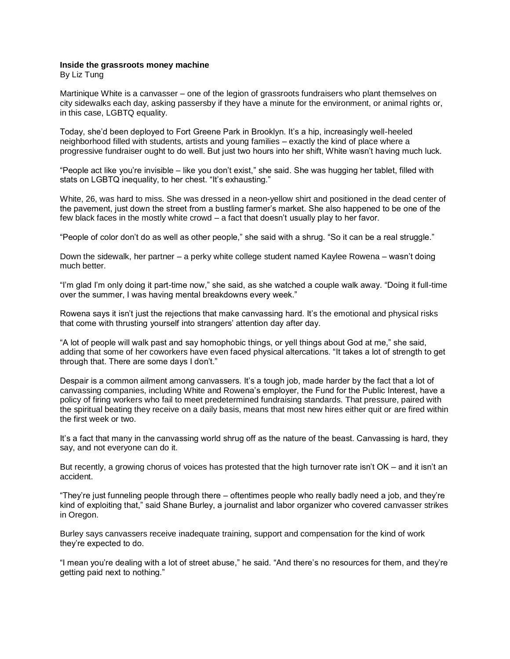## **Inside the grassroots money machine**

By Liz Tung

Martinique White is a canvasser – one of the legion of grassroots fundraisers who plant themselves on city sidewalks each day, asking passersby if they have a minute for the environment, or animal rights or, in this case, LGBTQ equality.

Today, she'd been deployed to Fort Greene Park in Brooklyn. It's a hip, increasingly well-heeled neighborhood filled with students, artists and young families – exactly the kind of place where a progressive fundraiser ought to do well. But just two hours into her shift, White wasn't having much luck.

"People act like you're invisible – like you don't exist," she said. She was hugging her tablet, filled with stats on LGBTQ inequality, to her chest. "It's exhausting."

White, 26, was hard to miss. She was dressed in a neon-yellow shirt and positioned in the dead center of the pavement, just down the street from a bustling farmer's market. She also happened to be one of the few black faces in the mostly white crowd – a fact that doesn't usually play to her favor.

"People of color don't do as well as other people," she said with a shrug. "So it can be a real struggle."

Down the sidewalk, her partner – a perky white college student named Kaylee Rowena – wasn't doing much better.

"I'm glad I'm only doing it part-time now," she said, as she watched a couple walk away. "Doing it full-time over the summer, I was having mental breakdowns every week."

Rowena says it isn't just the rejections that make canvassing hard. It's the emotional and physical risks that come with thrusting yourself into strangers' attention day after day.

"A lot of people will walk past and say homophobic things, or yell things about God at me," she said, adding that some of her coworkers have even faced physical altercations. "It takes a lot of strength to get through that. There are some days I don't."

Despair is a common ailment among canvassers. It's a tough job, made harder by the fact that a lot of canvassing companies, including White and Rowena's employer, the Fund for the Public Interest, have a policy of firing workers who fail to meet predetermined fundraising standards. That pressure, paired with the spiritual beating they receive on a daily basis, means that most new hires either quit or are fired within the first week or two.

It's a fact that many in the canvassing world shrug off as the nature of the beast. Canvassing is hard, they say, and not everyone can do it.

But recently, a growing chorus of voices has protested that the high turnover rate isn't OK – and it isn't an accident.

"They're just funneling people through there – oftentimes people who really badly need a job, and they're kind of exploiting that," said Shane Burley, a journalist and labor organizer who covered canvasser strikes in Oregon.

Burley says canvassers receive inadequate training, support and compensation for the kind of work they're expected to do.

"I mean you're dealing with a lot of street abuse," he said. "And there's no resources for them, and they're getting paid next to nothing."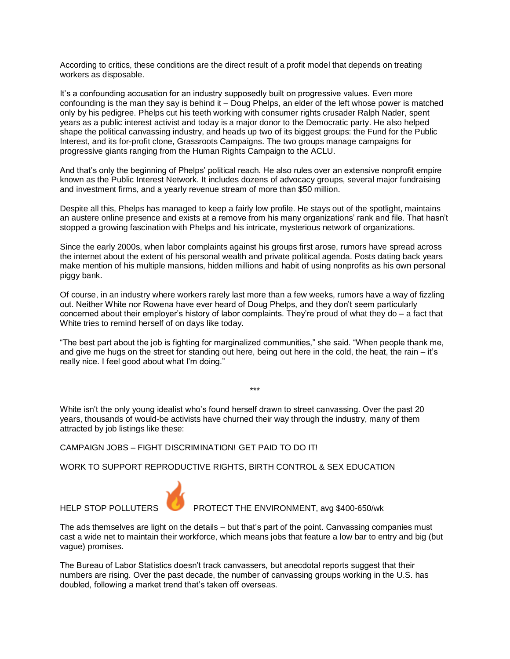According to critics, these conditions are the direct result of a profit model that depends on treating workers as disposable.

It's a confounding accusation for an industry supposedly built on progressive values. Even more confounding is the man they say is behind it – Doug Phelps, an elder of the left whose power is matched only by his pedigree. Phelps cut his teeth working with consumer rights crusader Ralph Nader, spent years as a public interest activist and today is a major donor to the Democratic party. He also helped shape the political canvassing industry, and heads up two of its biggest groups: the Fund for the Public Interest, and its for-profit clone, Grassroots Campaigns. The two groups manage campaigns for progressive giants ranging from the Human Rights Campaign to the ACLU.

And that's only the beginning of Phelps' political reach. He also rules over an extensive nonprofit empire known as the Public Interest Network. It includes dozens of advocacy groups, several major fundraising and investment firms, and a yearly revenue stream of more than \$50 million.

Despite all this, Phelps has managed to keep a fairly low profile. He stays out of the spotlight, maintains an austere online presence and exists at a remove from his many organizations' rank and file. That hasn't stopped a growing fascination with Phelps and his intricate, mysterious network of organizations.

Since the early 2000s, when labor complaints against his groups first arose, rumors have spread across the internet about the extent of his personal wealth and private political agenda. Posts dating back years make mention of his multiple mansions, hidden millions and habit of using nonprofits as his own personal piggy bank.

Of course, in an industry where workers rarely last more than a few weeks, rumors have a way of fizzling out. Neither White nor Rowena have ever heard of Doug Phelps, and they don't seem particularly concerned about their employer's history of labor complaints. They're proud of what they do – a fact that White tries to remind herself of on days like today.

"The best part about the job is fighting for marginalized communities," she said. "When people thank me, and give me hugs on the street for standing out here, being out here in the cold, the heat, the rain – it's really nice. I feel good about what I'm doing."

\*\*\*

White isn't the only young idealist who's found herself drawn to street canvassing. Over the past 20 years, thousands of would-be activists have churned their way through the industry, many of them attracted by job listings like these:

CAMPAIGN JOBS – FIGHT DISCRIMINATION! GET PAID TO DO IT!

WORK TO SUPPORT REPRODUCTIVE RIGHTS, BIRTH CONTROL & SEX EDUCATION



HELP STOP POLLUTERS **PROTECT THE ENVIRONMENT, avg \$400-650/wk** 

The ads themselves are light on the details – but that's part of the point. Canvassing companies must cast a wide net to maintain their workforce, which means jobs that feature a low bar to entry and big (but vague) promises.

The Bureau of Labor Statistics doesn't track canvassers, but anecdotal reports suggest that their numbers are rising. Over the past decade, the number of canvassing groups working in the U.S. has doubled, following a market trend that's taken off overseas.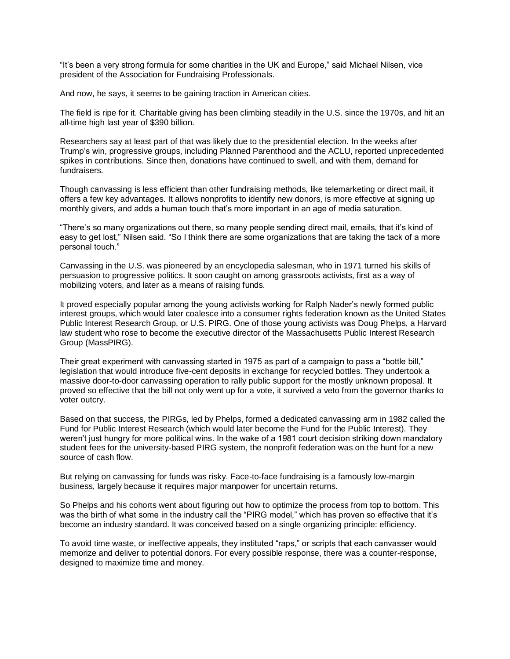"It's been a very strong formula for some charities in the UK and Europe," said Michael Nilsen, vice president of the Association for Fundraising Professionals.

And now, he says, it seems to be gaining traction in American cities.

The field is ripe for it. Charitable giving has been climbing steadily in the U.S. since the 1970s, and hit an all-time high last year of \$390 billion.

Researchers say at least part of that was likely due to the presidential election. In the weeks after Trump's win, progressive groups, including Planned Parenthood and the ACLU, reported unprecedented spikes in contributions. Since then, donations have continued to swell, and with them, demand for fundraisers.

Though canvassing is less efficient than other fundraising methods, like telemarketing or direct mail, it offers a few key advantages. It allows nonprofits to identify new donors, is more effective at signing up monthly givers, and adds a human touch that's more important in an age of media saturation.

"There's so many organizations out there, so many people sending direct mail, emails, that it's kind of easy to get lost," Nilsen said. "So I think there are some organizations that are taking the tack of a more personal touch."

Canvassing in the U.S. was pioneered by an encyclopedia salesman, who in 1971 turned his skills of persuasion to progressive politics. It soon caught on among grassroots activists, first as a way of mobilizing voters, and later as a means of raising funds.

It proved especially popular among the young activists working for Ralph Nader's newly formed public interest groups, which would later coalesce into a consumer rights federation known as the United States Public Interest Research Group, or U.S. PIRG. One of those young activists was Doug Phelps, a Harvard law student who rose to become the executive director of the Massachusetts Public Interest Research Group (MassPIRG).

Their great experiment with canvassing started in 1975 as part of a campaign to pass a "bottle bill," legislation that would introduce five-cent deposits in exchange for recycled bottles. They undertook a massive door-to-door canvassing operation to rally public support for the mostly unknown proposal. It proved so effective that the bill not only went up for a vote, it survived a veto from the governor thanks to voter outcry.

Based on that success, the PIRGs, led by Phelps, formed a dedicated canvassing arm in 1982 called the Fund for Public Interest Research (which would later become the Fund for the Public Interest). They weren't just hungry for more political wins. In the wake of a 1981 court decision striking down mandatory student fees for the university-based PIRG system, the nonprofit federation was on the hunt for a new source of cash flow.

But relying on canvassing for funds was risky. Face-to-face fundraising is a famously low-margin business, largely because it requires major manpower for uncertain returns.

So Phelps and his cohorts went about figuring out how to optimize the process from top to bottom. This was the birth of what some in the industry call the "PIRG model," which has proven so effective that it's become an industry standard. It was conceived based on a single organizing principle: efficiency.

To avoid time waste, or ineffective appeals, they instituted "raps," or scripts that each canvasser would memorize and deliver to potential donors. For every possible response, there was a counter-response, designed to maximize time and money.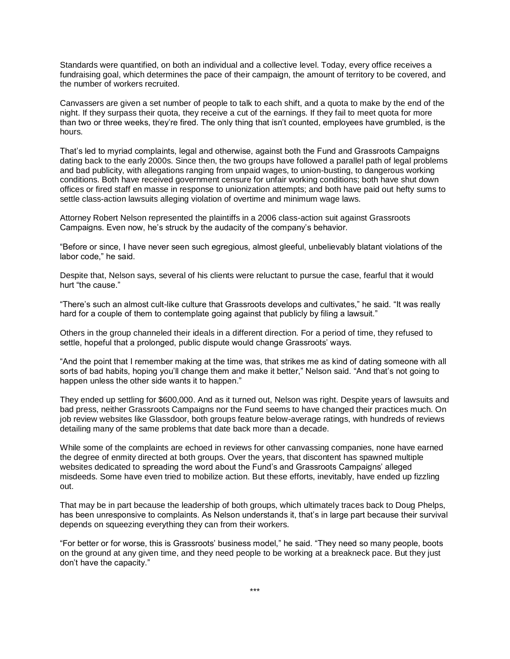Standards were quantified, on both an individual and a collective level. Today, every office receives a fundraising goal, which determines the pace of their campaign, the amount of territory to be covered, and the number of workers recruited.

Canvassers are given a set number of people to talk to each shift, and a quota to make by the end of the night. If they surpass their quota, they receive a cut of the earnings. If they fail to meet quota for more than two or three weeks, they're fired. The only thing that isn't counted, employees have grumbled, is the hours.

That's led to myriad complaints, legal and otherwise, against both the Fund and Grassroots Campaigns dating back to the early 2000s. Since then, the two groups have followed a parallel path of legal problems and bad publicity, with allegations ranging from unpaid wages, to union-busting, to dangerous working conditions. Both have received government censure for unfair working conditions; both have shut down offices or fired staff en masse in response to unionization attempts; and both have paid out hefty sums to settle class-action lawsuits alleging violation of overtime and minimum wage laws.

Attorney Robert Nelson represented the plaintiffs in a 2006 class-action suit against Grassroots Campaigns. Even now, he's struck by the audacity of the company's behavior.

"Before or since, I have never seen such egregious, almost gleeful, unbelievably blatant violations of the labor code," he said.

Despite that, Nelson says, several of his clients were reluctant to pursue the case, fearful that it would hurt "the cause."

"There's such an almost cult-like culture that Grassroots develops and cultivates," he said. "It was really hard for a couple of them to contemplate going against that publicly by filing a lawsuit."

Others in the group channeled their ideals in a different direction. For a period of time, they refused to settle, hopeful that a prolonged, public dispute would change Grassroots' ways.

"And the point that I remember making at the time was, that strikes me as kind of dating someone with all sorts of bad habits, hoping you'll change them and make it better," Nelson said. "And that's not going to happen unless the other side wants it to happen."

They ended up settling for \$600,000. And as it turned out, Nelson was right. Despite years of lawsuits and bad press, neither Grassroots Campaigns nor the Fund seems to have changed their practices much. On job review websites like Glassdoor, both groups feature below-average ratings, with hundreds of reviews detailing many of the same problems that date back more than a decade.

While some of the complaints are echoed in reviews for other canvassing companies, none have earned the degree of enmity directed at both groups. Over the years, that discontent has spawned multiple websites dedicated to spreading the word about the Fund's and Grassroots Campaigns' alleged misdeeds. Some have even tried to mobilize action. But these efforts, inevitably, have ended up fizzling out.

That may be in part because the leadership of both groups, which ultimately traces back to Doug Phelps, has been unresponsive to complaints. As Nelson understands it, that's in large part because their survival depends on squeezing everything they can from their workers.

"For better or for worse, this is Grassroots' business model," he said. "They need so many people, boots on the ground at any given time, and they need people to be working at a breakneck pace. But they just don't have the capacity."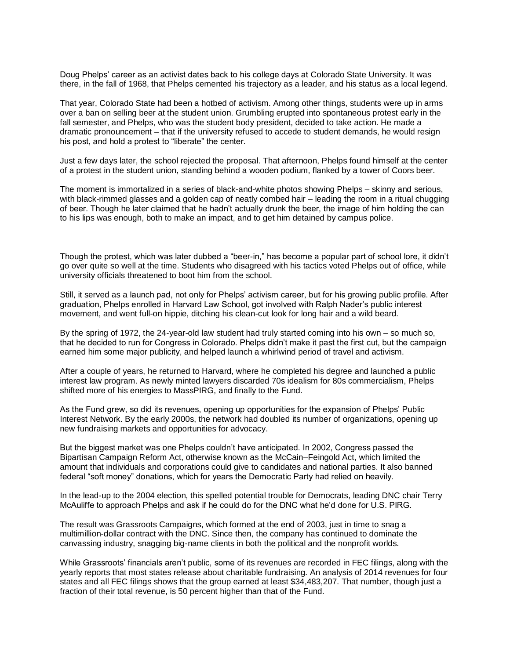Doug Phelps' career as an activist dates back to his college days at Colorado State University. It was there, in the fall of 1968, that Phelps cemented his trajectory as a leader, and his status as a local legend.

That year, Colorado State had been a hotbed of activism. Among other things, students were up in arms over a ban on selling beer at the student union. Grumbling erupted into spontaneous protest early in the fall semester, and Phelps, who was the student body president, decided to take action. He made a dramatic pronouncement – that if the university refused to accede to student demands, he would resign his post, and hold a protest to "liberate" the center.

Just a few days later, the school rejected the proposal. That afternoon, Phelps found himself at the center of a protest in the student union, standing behind a wooden podium, flanked by a tower of Coors beer.

The moment is immortalized in a series of black-and-white photos showing Phelps – skinny and serious, with black-rimmed glasses and a golden cap of neatly combed hair – leading the room in a ritual chugging of beer. Though he later claimed that he hadn't actually drunk the beer, the image of him holding the can to his lips was enough, both to make an impact, and to get him detained by campus police.

Though the protest, which was later dubbed a "beer-in," has become a popular part of school lore, it didn't go over quite so well at the time. Students who disagreed with his tactics voted Phelps out of office, while university officials threatened to boot him from the school.

Still, it served as a launch pad, not only for Phelps' activism career, but for his growing public profile. After graduation, Phelps enrolled in Harvard Law School, got involved with Ralph Nader's public interest movement, and went full-on hippie, ditching his clean-cut look for long hair and a wild beard.

By the spring of 1972, the 24-year-old law student had truly started coming into his own – so much so, that he decided to run for Congress in Colorado. Phelps didn't make it past the first cut, but the campaign earned him some major publicity, and helped launch a whirlwind period of travel and activism.

After a couple of years, he returned to Harvard, where he completed his degree and launched a public interest law program. As newly minted lawyers discarded 70s idealism for 80s commercialism, Phelps shifted more of his energies to MassPIRG, and finally to the Fund.

As the Fund grew, so did its revenues, opening up opportunities for the expansion of Phelps' Public Interest Network. By the early 2000s, the network had doubled its number of organizations, opening up new fundraising markets and opportunities for advocacy.

But the biggest market was one Phelps couldn't have anticipated. In 2002, Congress passed the Bipartisan Campaign Reform Act, otherwise known as the McCain–Feingold Act, which limited the amount that individuals and corporations could give to candidates and national parties. It also banned federal "soft money" donations, which for years the Democratic Party had relied on heavily.

In the lead-up to the 2004 election, this spelled potential trouble for Democrats, leading DNC chair Terry McAuliffe to approach Phelps and ask if he could do for the DNC what he'd done for U.S. PIRG.

The result was Grassroots Campaigns, which formed at the end of 2003, just in time to snag a multimillion-dollar contract with the DNC. Since then, the company has continued to dominate the canvassing industry, snagging big-name clients in both the political and the nonprofit worlds.

While Grassroots' financials aren't public, some of its revenues are recorded in FEC filings, along with the yearly reports that most states release about charitable fundraising. An analysis of 2014 revenues for four states and all FEC filings shows that the group earned at least \$34,483,207. That number, though just a fraction of their total revenue, is 50 percent higher than that of the Fund.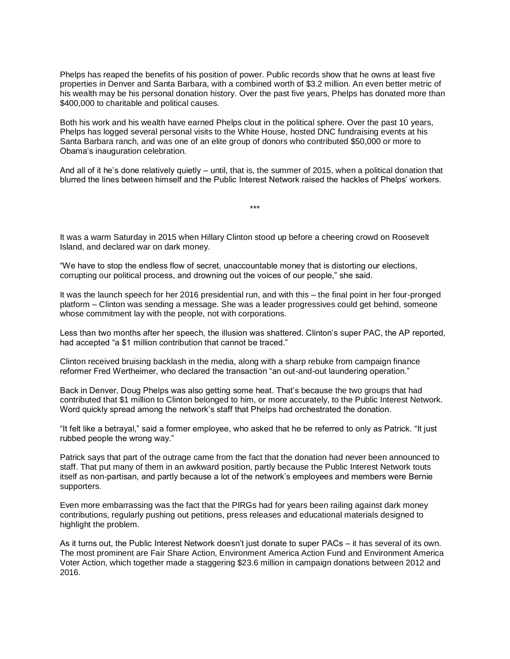Phelps has reaped the benefits of his position of power. Public records show that he owns at least five properties in Denver and Santa Barbara, with a combined worth of \$3.2 million. An even better metric of his wealth may be his personal donation history. Over the past five years, Phelps has donated more than \$400,000 to charitable and political causes.

Both his work and his wealth have earned Phelps clout in the political sphere. Over the past 10 years, Phelps has logged several personal visits to the White House, hosted DNC fundraising events at his Santa Barbara ranch, and was one of an elite group of donors who contributed \$50,000 or more to Obama's inauguration celebration.

And all of it he's done relatively quietly – until, that is, the summer of 2015, when a political donation that blurred the lines between himself and the Public Interest Network raised the hackles of Phelps' workers.

\*\*\*

It was a warm Saturday in 2015 when Hillary Clinton stood up before a cheering crowd on Roosevelt Island, and declared war on dark money.

"We have to stop the endless flow of secret, unaccountable money that is distorting our elections, corrupting our political process, and drowning out the voices of our people," she said.

It was the launch speech for her 2016 presidential run, and with this – the final point in her four-pronged platform – Clinton was sending a message. She was a leader progressives could get behind, someone whose commitment lay with the people, not with corporations.

Less than two months after her speech, the illusion was shattered. Clinton's super PAC, the AP reported, had accepted "a \$1 million contribution that cannot be traced."

Clinton received bruising backlash in the media, along with a sharp rebuke from campaign finance reformer Fred Wertheimer, who declared the transaction "an out-and-out laundering operation."

Back in Denver, Doug Phelps was also getting some heat. That's because the two groups that had contributed that \$1 million to Clinton belonged to him, or more accurately, to the Public Interest Network. Word quickly spread among the network's staff that Phelps had orchestrated the donation.

"It felt like a betrayal," said a former employee, who asked that he be referred to only as Patrick. "It just rubbed people the wrong way."

Patrick says that part of the outrage came from the fact that the donation had never been announced to staff. That put many of them in an awkward position, partly because the Public Interest Network touts itself as non-partisan, and partly because a lot of the network's employees and members were Bernie supporters.

Even more embarrassing was the fact that the PIRGs had for years been railing against dark money contributions, regularly pushing out petitions, press releases and educational materials designed to highlight the problem.

As it turns out, the Public Interest Network doesn't just donate to super PACs – it has several of its own. The most prominent are Fair Share Action, Environment America Action Fund and Environment America Voter Action, which together made a staggering \$23.6 million in campaign donations between 2012 and 2016.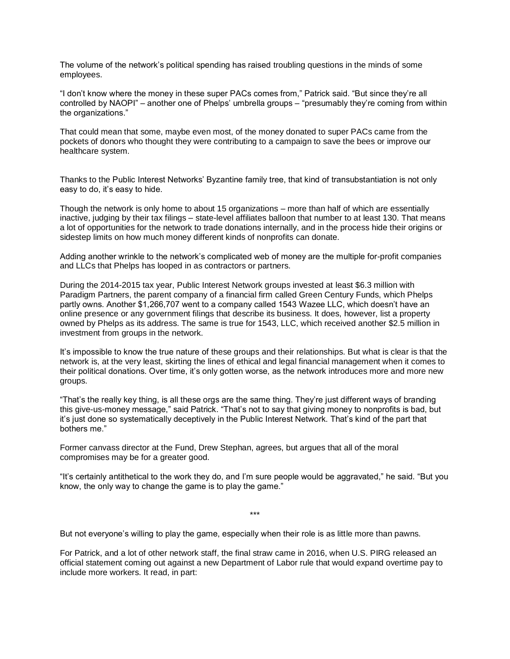The volume of the network's political spending has raised troubling questions in the minds of some employees.

"I don't know where the money in these super PACs comes from," Patrick said. "But since they're all controlled by NAOPI" – another one of Phelps' umbrella groups – "presumably they're coming from within the organizations."

That could mean that some, maybe even most, of the money donated to super PACs came from the pockets of donors who thought they were contributing to a campaign to save the bees or improve our healthcare system.

Thanks to the Public Interest Networks' Byzantine family tree, that kind of transubstantiation is not only easy to do, it's easy to hide.

Though the network is only home to about 15 organizations – more than half of which are essentially inactive, judging by their tax filings – state-level affiliates balloon that number to at least 130. That means a lot of opportunities for the network to trade donations internally, and in the process hide their origins or sidestep limits on how much money different kinds of nonprofits can donate.

Adding another wrinkle to the network's complicated web of money are the multiple for-profit companies and LLCs that Phelps has looped in as contractors or partners.

During the 2014-2015 tax year, Public Interest Network groups invested at least \$6.3 million with Paradigm Partners, the parent company of a financial firm called Green Century Funds, which Phelps partly owns. Another \$1,266,707 went to a company called 1543 Wazee LLC, which doesn't have an online presence or any government filings that describe its business. It does, however, list a property owned by Phelps as its address. The same is true for 1543, LLC, which received another \$2.5 million in investment from groups in the network.

It's impossible to know the true nature of these groups and their relationships. But what is clear is that the network is, at the very least, skirting the lines of ethical and legal financial management when it comes to their political donations. Over time, it's only gotten worse, as the network introduces more and more new groups.

"That's the really key thing, is all these orgs are the same thing. They're just different ways of branding this give-us-money message," said Patrick. "That's not to say that giving money to nonprofits is bad, but it's just done so systematically deceptively in the Public Interest Network. That's kind of the part that bothers me."

Former canvass director at the Fund, Drew Stephan, agrees, but argues that all of the moral compromises may be for a greater good.

"It's certainly antithetical to the work they do, and I'm sure people would be aggravated," he said. "But you know, the only way to change the game is to play the game."

\*\*\*

But not everyone's willing to play the game, especially when their role is as little more than pawns.

For Patrick, and a lot of other network staff, the final straw came in 2016, when U.S. PIRG released an official statement coming out against a new Department of Labor rule that would expand overtime pay to include more workers. It read, in part: